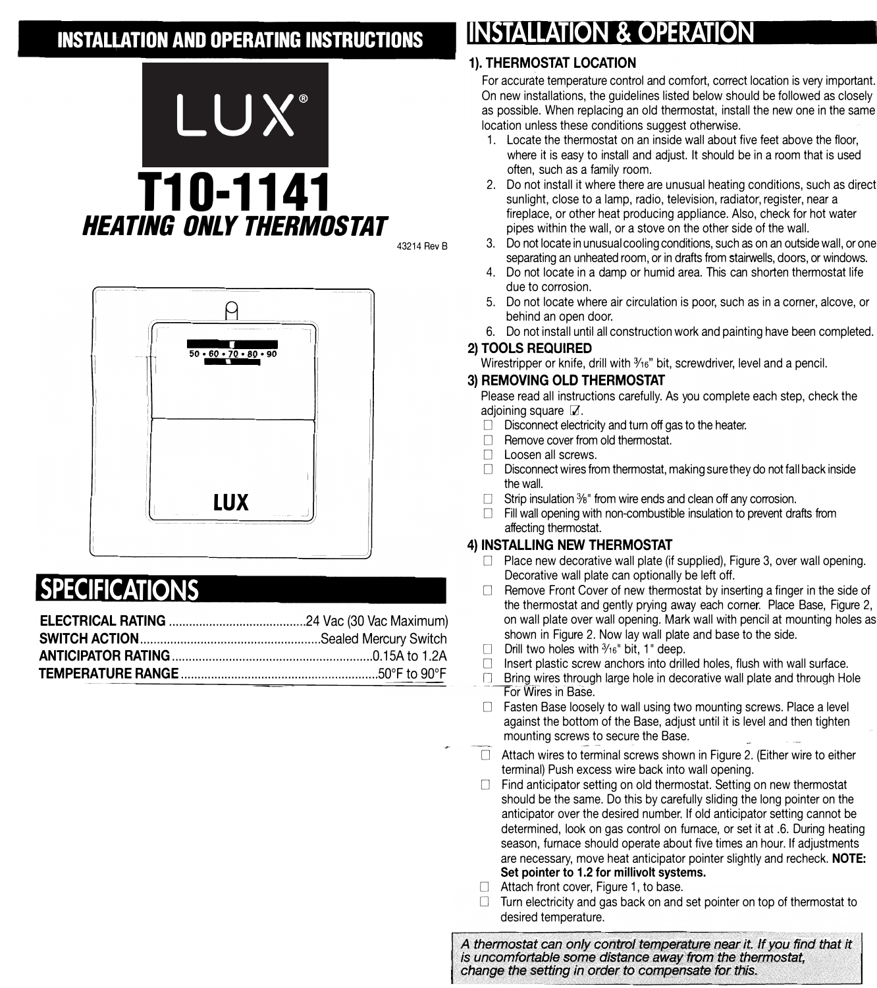### **INSTALLATION AND OPERATING INSTRUCTIONS**





## **SPECIFICATIONS**

## **INSTALLATION & OPERATION**

#### **1). THERMOSTAT LOCATION**

For accurate temperature control and comfort, correct location is very important. On new installations, the guidelines listed below should be followed as closely as possible. When replacing an old thermostat, install the new one in the same location unless these conditions suggest otherwise.

- 1. Locate the thermostat on an inside wall about five feet above the floor, where it is easy to install and adjust. It should be in a room that is used often, such as a family room.
- 2. Do not install it where there are unusual heating conditions, such as direct sunlight, close to a lamp, radio, television, radiator, register, near a fireplace, or other heat producing appliance. Also, check for hot water pipes within the wall, or a stove on the other side of the wall.
- 3. Do not locate in unusual cooling conditions, such as on an outside wall, or one separating an unheated room, or in drafts from stairwells, doors, or windows.
- 4. Do not locate in a damp or humid area. This can shorten thermostat life due to corrosion.
- 5. Do not locate where air circulation is poor, such as in a corner, alcove, or behind an open door.
- 6. Do not install until all construction work and painting have been completed.

#### **2) TOOLS REQUIRED**

Wirestripper or knife, drill with 3/16" bit, screwdriver, level and a pencil.

#### **3) REMOVING OLD THERMOSTAT**

Please read all instructions carefully. As you complete each step, check the adjoining square  $\mathbb Z$ .

- $\Box$  Disconnect electricity and turn off gas to the heater.
- D Remove cover from old thermostat.
- $\Box$  Loosen all screws.
- $\Box$  Disconnect wires from thermostat, making sure they do not fall back inside the wall.
- $\Box$  Strip insulation  $\frac{36}{5}$  from wire ends and clean off any corrosion.<br> $\Box$  Fill wall opening with non-combustible insulation to prevent dra
- Fill wall opening with non-combustible insulation to prevent drafts from affecting thermostat.

#### **4) INSTALLING NEW THERMOSTAT**

- $\Box$  Place new decorative wall plate (if supplied), Figure 3, over wall opening. Decorative wall plate can optionally be left off.
- □ Remove Front Cover of new thermostat by inserting a finger in the side of the thermostat and gently prying away each corner. Place Base, Figure 2, on wall plate over wall opening. Mark wall with pencil at mounting holes as shown in Figure 2. Now lay wall plate and base to the side.
- Drill two holes with  $\frac{3}{16}$ " bit, 1" deep.
- $\Box$  Insert plastic screw anchors into drilled holes, flush with wall surface.
- **D** Bring wires through large hole in decorative wall plate and through Hole For Wires in Base.
- $\Box$  Fasten Base loosely to wall using two mounting screws. Place a level against the bottom of the Base, adjust until it is level and then tighten mounting screws to secure the Base.

 $\Box$  Attach wires to terminal screws shown in Figure 2. (Either wire to either terminal) Push excess wire back into wall opening.

 $\Box$  Find anticipator setting on old thermostat. Setting on new thermostat should be the same. Do this by carefully sliding the long pointer on the anticipator over the desired number. If old anticipator setting cannot be determined, look on gas control on furnace, or set it at .6. During heating season, furnace should operate about five times an hour. If adjustments are necessary, move heat anticipator pointer slightly and recheck. **NOTE: Set pointer to 1.2 for millivolt systems.** 

- $\Box$  Attach front cover, Figure 1, to base.
- $\Box$  Turn electricity and gas back on and set pointer on top of thermostat to desired temperature.

*A thermostat can only control temperatvre near it. If you find that it is uncomfortable. some distance.awayfrom the thermostat,*  change the setting in order to compensate for this.